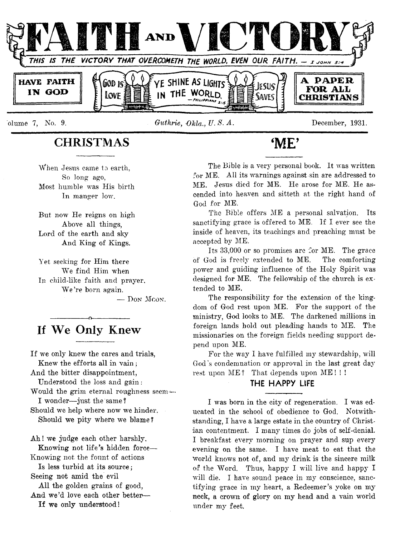

#### *olume 7, No. 9. Guthrie, Okla., U.S.A.* **December, 1931.**

**The Bible is a very personal book. It was written for ME. All its warnings against sin are addressed to ME. Jesus died for ME. He arose for ME. He ascended into heaven and sitteth at the right hand of God for ME.**

**The Bible offers ME a personal salvation. Tts sanctifying grace is offered to ME. If I ever see the inside of heaven, its teachings and preaching must be accepted by ME.**

**Its 33,000 or so promises are for ME. The grace of God is freely extended to ME. The comforting power and guiding influence of the Holy Spirit was** designed for ME. The fellowship of the church is ex**tended to ME.**

**The responsibility for the extension of the kingdom of God rest upon ME. For the support of the ministry, God looks to ME. The darkened millions in foreign lands hold out pleading hands to ME. The missionaries on the foreign fields needing support depend upon ME.**

For the way I have fulfilled my stewardship, will **God's condemnation or approval in the last great day rest upon ME ? That depends upon ME ! ! !**

#### **THE HAPPY LIFE**

**I was born in the city of regeneration. I was educated in the school of obedience to God. Notwithstanding, I have a large estate in the country of Christian contentment. I many times do jobs of self-denial. I breakfast every morning on prayer and sup every evening on the same. I have meat to eat that the world knows not of, and my drink is the sincere milk of the Word. Thus, happy I will live and happy I** *will* **die. I have sound peace in my conscience, sanctifying grace in my heart, a Redeemer's yoke on my neck, a crown of glory on my head and a vain world under my feet.**

**CHRISTMAS** 'ME'

**When Jesus came to earth, So long ago, Most humble was His birth In manger low.**

**But now He reigns on high Above all things, Lord of the earth and sky And King of Kings.**

**Yet seeking for Him there** We find Him when **In child-like faith and prayer. W e 're born again.**

— Don Moon.

# **------------------ o------------------ If We Only Knew**

**If we only knew the cares and trials, Knew the efforts all in vain ; And the bitter disappointment, Understood the loss and gain: Would the grim eternal roughness seem— I wonder— just the same!** Should we help where now we hinder. **Should we pity where we blame ?**

Ah! we judge each other harshly. **Knowing not life's hidden force— Knowing not the fount of actions Is less turbid at its source ; Seeing not amid the evil** All the golden grains of good, **And we'd love each other better—**

If we only understood!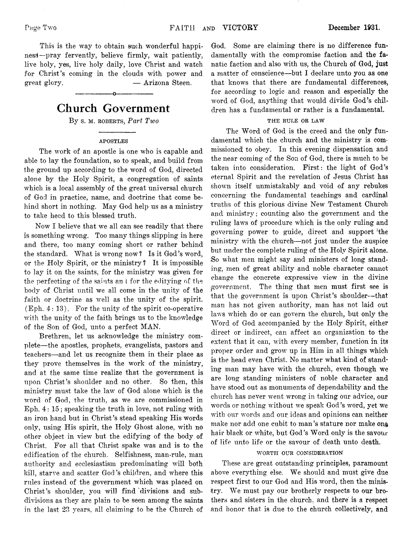**This is the way to obtain such wonderful happiness!—pray fervently, believe firmly, wait patiently,** live holy, yes, live holy daily, love Christ and watch **for Christ's coming in the clouds with power and great glory. — Arizona. Steen.**

# **Church Government**

**------------------ o-------------------**

By s. **M.** ROBERTS, *Part Two* 

#### APOSTLES

**The work of an apostle is one who is capable and able to lay the foundation, so to speak, and build from the ground up according to the word of God, directed alone by the Holy Spirit, a congregation of saints which is a local assembly of the great universal church of God in practice, name, and doctrine that come behind short in nothing. May God help us as a ministry to take heed to this blessed truth.**

**Now I believe that we all can see readily that there is something wrong. Too many things slipping in here and there, too many coming short or rather behind the standard. What is wrong now? Is it God's word, or the Holy Spirit, or the ministry ? It is impossible to lay it on the saints, for the ministry was given for the perfecting of the saints an i for the edifying of the body of Christ until we all come in the unity of the faith or doctrine as well as the unity of the spirit. (Eph. 4 : 13). For the unity of the spirit co-operative with the unity of the faith brings us to the knowledge of the Son of God, unto a perfect MAN.**

**Brethren, let us acknowledge the ministry complete— the apostles, prophets, evangelists, pastors and teachers— and let us recognize them in their place as they prove themselves in the work of the ministry, and at the same time realize that the government is upon Christ's shoulder and no other. So then, this ministry must take the law of God alone which is the word of God, the truth, as we are commissioned in Eph. 4 : 15; speaking the truth in love, not ruling with an iron hand but in Christ's stead speaking His words only, using His spirit, the Holy Ghost alone, with no other object in view but the edifying of the body of Christ. For all that Christ spake was and is to the edification of the church. Selfishness, man-rule, man authority and ecclesiastism predominating will both kill, starve and scatter God's children, and where this rules instead of the government which was placed on Christ's shoulder, you will find 'divisions and subdivisions as they are plain to be seen among the saints in the last 23 years, all claiming to be the Church of**

God. Some are claiming there is no difference fun**damentally with the compromise faction and the fanatic faction and also with us, the Church of God, just a matter of conscience— but I declare unto you as one that knows that there are fundamental differences, for according to logic and reason and especially the word of God, anything that would divide God's children has a fundamental or rather is a fundamental.**

#### THE RULE OR LAW

**The Word of God is the creed and the only fundamental which the church and the ministry is commissioned' to obey. In this evening dispensation and the near coming of the Son of God, there is much to be** taken into consideration. First: the light of God's **eternal Spirit and the revelation of Jesus Christ has shown itself unmistakably and void of any rebukes concerning the fundamental teachings and cardinal truths of this glorious divine New Testament Church and ministry; counting also the government and the ruling laws of procedure which is the only ruling and governing power to guide, direct and support 'the ministry with the church— not just under the auspice but under the complete ruling of the Holy Spirit alone. ;So what men might say and ministers of long standing, men of great ability and noble character cannot change the concrete expressive view in the divine government. The thing that men must first see is that the government is upon Christ's shoulder— that man has not given authority, man has not laid out lavs which do or can govern the church, but only the Word of God accompanied by the Holy Spirit, either direct or indirect, can affect an organization to the extent that it can, with every member, function in its proper order and grow up in Him in all things which is the head even Christ:. No matter what kind of standing man may have with the church, even though we are long standing ministers of noble character and have stood out as monuments of dependability and the church has never went wrong in taking our advice, our words or nothing without we speak God's word, yet we with our words and our ideas and opinions can neither make nor add one cubit to man's stature nor make on& hair black or white, but God's Word only is the savour of life unto life or the savour of death unto death.**

#### WORTH OUR CONSIDERATION

**These are great outstanding principles, paramount** above everything else. We should and must give due **respect first to our God and His word, then the minis**try. We must pay our brotherly respects to our bro**thers and sisters in the church, and there is a respect and honor that is due to the church collectively, and**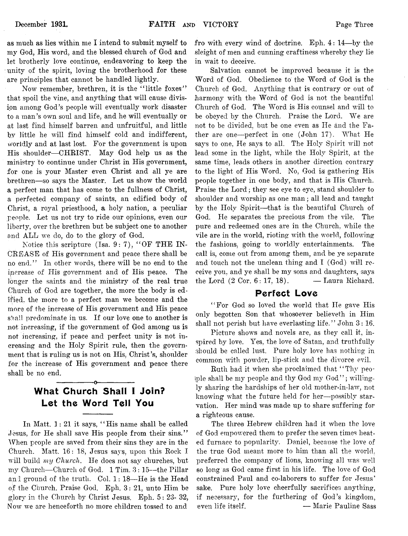**as much as lies within me I intend to submit myself to my God, His word, and the blessed church of God and let brotherly love continue, endeavoring to keep the unity of the spirit, loving the brotherhood for these are principles that cannot be handled lightly.**

Now remember, brethren, it is the "little foxes" **that spoil the vine, and anything that will cause division among God's people will eventually work disaster to a man's own soul and life, and he will eventually or at last find himself barren and unfruitful, and little by little he will find himself cold and indifferent, \vorldly and at last lost. For the government is upon His shoulder— CHRIST. May God help us as the ministry to continue under Christ in His government, for one is your Master even Christ and all ye are brethren— so says the Master. Let us show the world a perfect man that has come to the fullness of Christ, a perfected company of saints, an edified body of Christ, a royal priesthood, a holy nation, a peculiar people. Let us not try to ride our opinions, even our liberty, over the brethren but be subject one to another and ALL we do, do to the glory of God.**

Notice this scripture (Isa. 9: 7), "OF THE IN-**CREASE of His government and peace there shall be no end." In other words, there will be no end to the increase of His government and of His peace. The longer the saints and the ministry of the real true Church of God are together, the more the body is edified. the more to a perfect man we become and the more of the increase of His government and His peace s'bal! predominate in us. If our love one to another is not increasing, if the government of God among us is not increasing, if peace and perfect unity is not increasing and the Holy Spirit rule, then the government that is ruling us is not on His, Christ's, shoulder for the increase of His government and peace there shall be no end.**

# **What Church Shall I Join? Let the Word Tell You**

**-------------------o------------------**

**In Matt. 1 : 21 it says, " His name shall be called Jesus, for He shall save His people from their sins." When people are saved from their sins they are in the Church. Matt. 16: 18, Jesus says, upon this Rock I will build** *my Church.* **He does not say churches, but my Church— Church of God. 1 Tim. 3 : 15— the Pillar and ground of the truth. Col. 1 : 18— He is the Head of the Church. Praise God. Eph. 3 : 21, unto Him be glory in the Church by Christ Jesus. Eph. 5 : 23- 32, Now we are henceforth no more children tossed to and**

**fro with every wind of doctrine. Eph. 4 : 14— by the sleight of men and cunning craftiness whereby they lie in wait to deceive.**

**Salvation cannot be improved because it is the Word of God. Obedience to the Word of God is the Church of God. Anything that is contrary or out of harmony with the Word of God is not the beautiful Church of God. The Word is His counsel and will to** be obeyed by the Church. Praise the Lord. We are **not to be divided, but be one even as He and the Father are one— perfect in one (John 17). What He says to one, He says to all. The Holy Spirit will not lead some in the light, while the Holy Spirit, at the same time, leads others in another direction contrary** to the light of His Word. No, God is gathering His **people together in one body, and that is His Church. Praise the Lord; they see eye to eye, stand shoulder to shoulder and worship as one man; all lead and taught by the Holy Spirit— that is the beautiful Church of God. He separates the precious from the vile. The pure and redeemed ones are in the Church, while the vile are in the world, rioting with the world, following the fashions, going to worldly entertainments. The call is, come out from among them, and be ye separate and touch not the unclean thing and I (God) will receive you, and ye shall be my sons and daughters, says the Lord (2 Cor. 6: 17, 18). — Laura Richard.**

#### **Perfect Love**

**" For God so loved the world that He gave His only begotten Son that whosoever believeth in Him shall not perish but have everlasting life." John 3 : 16.**

**Picture shows and novels are, as they call it, in**spired by love. Yes, the love of Satan, and truthfully **should be called lust. Pure holy love has nothing in common with powder, lip-stick and the divorce evil.**

**Ruth had it when she proclaimed that " Thy peo-Iple shall be my people and thy God my God" ; willingly sharing the hardships of her old mother-in-law, not** knowing what the future held for her—possibly star**vation. Her mind was made up to share suffering for a righteous cause.**

**The three Hebrew children had it when the love of God empowered them to prefer the seven times heated furnace to popularity. Daniel, because the love of the true God meant more to him than all the world, preferred the company of lions, knowing all was well so long as God came first in his life. The love of God constrained Paul and co-laborers to suffer for Jesus' sake. Pure holy love cheerfully sacrifices anything, if necessary, for the furthering of God's kingdom, even life itself. — Marie Pauline Sass**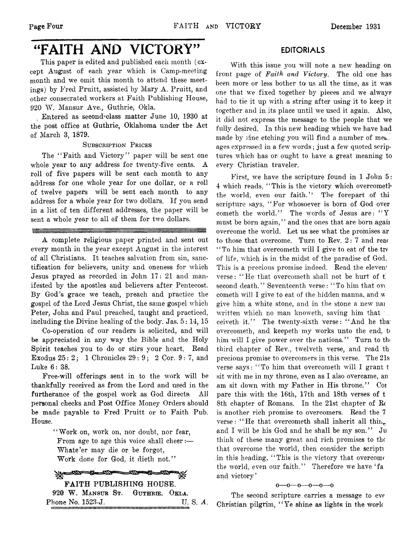# "FAITH AND VICTORY"

**This paper is edited and published each month (except August of each year which is Camp-meeting month and we omit this month to attend these meetings) by Fred Pruitt, assisted by Mary A. Pruitt, and other consecrated workers at Faith Publishing House, 920 W . Mansur Ave., Guthrie, Okla.**

**Entered as second-class matter June 10, 1930 at the post office at Guthrie, Oklahoma under the Act of March 3, 1879.**

SUBSCRIPTION PRICES

**The " Faith and Victory'' paper will be sent one whole year to any address for twenty-five cents. A roll of five papers will be sent each month to any address for one whole year for one dollar, or a roll of twelve papers will be sent each month to any address for a whole year for two dollars. If you send in a list of ten different addresses, the paper will be sent a whole year to all of them for two dollars.**

**A complete religious paper printed and sent out every month in the year except August in the interest of all Christians. It teaches salvation from sin, sanctification for believers, unity and oneness for which Jesus prayed as recorded in John 17: 21 and manifested by the apostles and believers after Pentecost. By God's grace we teach, preach and practice the gospel of the Lord Jesus Christ, the same gospel which Peter, John and Paul preached, taught and practiced,** including the Divine healing of the body. Jas.  $5:14$ , 15

**Co-operation of our readers is solicited, and will be appreciated in any way the Bible and the Holy Spirit teaches you to do or stirs your heart. Bead Exodus 25: 2 ; 1 Chronicles 29: 9 ; 2 Cor. 9 : 7, and Luke 6 : 38.**

**Free-will offerings sent in to the work will be thankfully received as from the Lord and used in the furtherance of the gospel work as God directs. All personal checks and Post Office Money Orders should be made payable to Fred Pruitt or to Faith Pub. House.**

> **" Work on, work on, nor doubt, nor fear, From age to age this voice shall cheer:— Whate'er may die or be forgot,** Work done for God, it dieth not."

-500-FAITH PUBLISHING HOUSE. 92® **W .** Mansur St. Guthrie, Okla. **Phone No. 1523-J. U. S.** *A.* iiiiiiiiiiiin M iiiiiin iiiiiiiiiiiiiiu iiim m iim m m iim m n iiiiiiiiiin m iiu iiiiim im im iiH iim irin im ii

#### **EDITORIALS**

**With this issue you will note a new heading on front page of** *Faith, and Victory.* **The old one has been more or less bother to us all the time, as it was one that we fixed together by pieces and we always had to tie it up with a string after using it to keep it together and in its place until we used it again. Also, it did not express the message to the people that we fully desired. In this new heading which we have had** made by zinc etching you will find a number of mes. **ages expressed in a few words; just a few quoted scriptures which has or ought to have a great meaning to every Christian traveler.**

**First, we have the scripture found in 1 John 5: 4 which reads, ' ' This is the victory which overeometb the world, even our faith.'' The forepart of thi •scripture says, " For whosoever is born of God over cometh the world." The words of Jesus are: " Y must be born again," and the ones that are born agaii overcome the world. Let us see what the promises ar to those that overcome. Turn to Rev. 2 : 7 and reae ' ' To him that overcometh will I give to eat of the tre of life, which is in the midst of the paradise of God. This is a precious promise indeed. Read the eleven' verse: ' ' He that overcometh shall not be hurt of 1** second death." Seventeenth verse: "To him that over **cometh will I give to eat of the hidden manna, and w give him a white stone, and in the stone a new nai written which no man knoweth, saving him that \** ceiveth it." The twenty-sixth verse: "And he tha **overcometh, and keepeth my works unto the end, t< him will I give power over the nations. ' ' Turn to th« third chapter of Rev., twelveth verse, and read th precious promise to overcomers in this verse. The 21s verse says: " To him that overcometh will I grant t sit with me in my throne, even as I also overcame, an am sit down with my Father in His throne." Coi pare this with the 16th, 17th and 18th verses of t 8th chapter of Romans. In the 21st chapter of Re is another rich promise to overcomers. Read the 7** verse: "He that overcometh shall inherit all thin**and I will be his God and he shall be my son.'' Ju think of these many great and rich promises to the that overcome the world, then consider the script! in this heading, " This is the victory that overcome** the world, even our faith." Therefore we have 'fa **and victory'**

#### $0 - 0 - 0 - 0 - 0 - 0$

**The second scripture carries a message to eve Christian pilgrim, " Ye shine as lights in the work**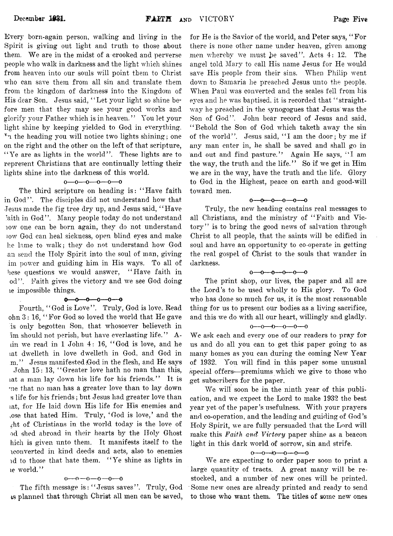**Every born-again person, walking and living in the Spirit is giving out light and truth to those about** them. We are in the midst of a crooked and perverse **people who walk in darkness and the light which shines from heaven into our souls will point them to Christ who can save them from all sin and translate them** from the kingdom of darkness into the Kingdom of **His dear Son. Jesus said, " Let your light so shine before men that they may see your good works and glorify your Father which is in heaven. " You let your light shine by keeping yielded to God in everything. Tn the heading you will notice two lights shining; one on the right and the other on the left of that scripture,** "Ye are as lights in the world". These lights are to **represent Christians that are continually letting their lights shine into the darkness of this world.**

#### $0 - 0 - 0 - 0 - 0$

**The third scripture on heading is: " Have faith** in God". The disciples did not understand how that **Jesus made the fig tree dry up, and Jesus said, " Have** laith in God". Many people today do not understand **iow one can be born again, they do not understand low God can heal sickness, open blind eyes and make he lame to walk; they do not understand how God an send the Holy Spirit into the soul of man, giving im power and guiding him in His ways. To all of hese questions we would answer, " Have faith in od" . Faith gives the victory and we see God doing le impossible things.**

#### $-0$  -0 -0 -0 -0 -0

Fourth, "God is Love". Truly, God is love. Read ohn 3: 16, "For God so loved the world that He gave **is only begotten Son, that whosoever believeth in im should not perish, but have everlasting life." A dn we read in 1 John 4 : 16, " God is love, and he tat dwelleth in love dwelleth in God, and God in m. " Jesus manifested (God in the flesh, and He says John 15: 13, " Greater love hath no man than this, lat a man lay down his life for his friends." It is •ue that no man has a greater love than to lay down s life for his friends; but Jesus had greater love than tat, for He laid down His life for His enemies and use that hated Him. Truly, ' God is love,' and the** At of Christians in the world today is the love of **od shed abroad in their hearts by the Holy Ghost hich is given unto them. It manifests itself to the converted in kind deeds and acts, also to enemies id to those that hate them. " Ye shine as lights in ic world."**

#### **o— o— o— o— 0— 0**

**The fifth message is : " Jesus saves" . Truly, God is planned that through Christ all men can be saved,**

**for He is the Savior of the world, and Peter says, " For there is none other name under heaven, given among men whereby we must** *l>e* **saved" . Acts 4 : 12. The angel told Mary to call His name Jesus for He would save His people from their sins. When Philip went down to Samaria he preached Jesus unto the people. When Paul was converted and the scales fell from his eyes and he was baptised, it is recorded that " straightway he preached in the synogogues that Jesus was the Son of God" . John bear record of Jesus and said, " Behold the Son of God which taketh away the sin** of the world". Jesus said, "I am the door; by me if **any man enter in, he shall be saved and shall go in and out and find pasture." Again He says, " I am the way, the truth and the life. " So if we get in Him** *we* **are in the way, have the truth and the life. Glory to God in the Highest, peace on earth and good-will toward men.**

#### $0 - 0 - 0 - 0 - 0$

**Truly, the new heading contains real messages to all Christians, and the ministry of " Faith and Victory" is to bring the good news of salvation through Christ to all people, that the saints will be edified in soul and have an opportunity to co-operate in getting the real gospel of Christ to the souls that wander in darkness.**

#### **o--- 0----0----0--- 0----0**

**The print shop, our lives, the paper and all are the Lord's to be used wholly to His glory. To God who has done so much for us, it is the most reasonable thing for us to present our bodies as a living sacrifice,** and this we do with all our heart, willingly and gladly.

#### **o— o— o— o— o— o**

**We ask each and every one of our readers to pray for us and do all you can to get this, paper going to as many homes as you can during the coming New Year of 1932. You will find in this paper some unusual special offers— premiums which:** *we* **give to those who get. subscribers for the paper.**

We will soon be in the ninth year of this publication, and we expect the Lord to make 1932 the best **year yet of the paper's usefulness. With your prayers and co-operation, and the leading and guiding of God's Holy Spirit,** *we* **are fully persuaded that the Lord will make this** *Faith and Victory* **paper shine as a beacon** light in this dark world of sorrow, sin and strife.

#### $0 - 0 - 0 - 0 - 0$

We are expecting to order paper soon to print a large quantity of tracts. A great many will be restocked, and a number of new ones will be printed. Some new ones are already printed and ready to send to those who want them. The titles of some new ones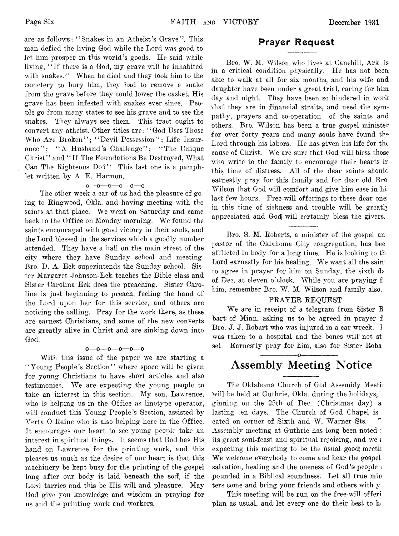**are as follows: " Snakes in an Atheist's Grave" . This man defied the living God while the Lord was good to let him prosper in this world's goods. He said while living, " If there is a God, my grave will be inhabited with snakes,' ' When he died and they took him to the cemetery to bury him, they had to remove a snake from the grave before they could lower the casket. His grave has been infested with snakes ever since. People go from many states to see his grave and to see the snakes. They always see them. This tract ought to convert any atheist. Other titles are: " God Uses Those** Who Are Broken"; "Devil Possession"; Life Insurance"; "A Husband's Challenge"; "The Unique **Christ" and " If The Foundations Be Destroyed, What** Can The Righteous Do?" This last one is a pamphlet written by A. E. Harmon.

#### **o— o— o— o— o— o**

**The other week a car of us had the pleasure of going to Ringwood, Okla. and having meeting with the** saints at that place. We went on Saturday and came back to the Office on Monday morning. We found the **saints encouraged with good victory in their souls, and the Lord blessed in the services which a goodly number attended. They have a hall on the main street of the city where they have Sunday school and meeting. Bro. D. A. Eck superintends the Sunday school. Sister Margaret Johnson-Eck teaches the Bible class and Sister Carolina Eck does the preaching. Sister Carolina is just beginning to preach, feeling the hand of the Lord upon her for this service, and others are noticing the calling. Pray for the work there, as these are earnest Christians, and some of the new converts are greatly alive in Christ and are sinking down into God.**

#### **o— o— o— o— 0— 0**

**With this issue of the paper we are starting a " Young People's Section" where space will be given for young Christians to have short articles and also** testimonies. We are expecting the young people to **take an interest in this section. My son, Lawrence, who is helping ns in the Office as linotype operator, will conduct this Young People's Section, assisted by Verta O 'Raine who is also helping here in the Office. It encourages our heart to see young people take an interest in spiritual things. It seems that God has His hand on Lawrence for the printing work, and this pleases us much as the desire of our heart is that this machinery be kept busy for the printing of the gospel long after our body is laid beneath the sod!, if the Lord tarries and this be His will and pleasure. May God give you knowledge and wisdom in praying for us and the printing work and workers.**

#### **Prayer Request**

Bro. W. M. Wilson who lives at Canehill, Ark. is **in a critical condition physically. He has not been able to walk at all for six months, and his wife and daughter have been under a great trial, caring for him day and night. They have been so hindered in work that they are in financial straits, and need the sympathy, prayers and co-operation of the saints and others. Bro. Wilson has been a true gospel minister for over forty years and many souls have found thQ Lord through his labors. He has given his life for the** cause of Christ. We are sure that God will bless those **who write to the family to encourage their hearts ir this time of distress. All of the dear saints shoulc earnestly pray for this family and for dear old Bro Wilson that God will comfort and give him ease in hi; last few hours. Free-will offerings to these dear one; in this time of sickness and trouble will be greatly appreciated and Godj will certainly bless the givers.**

**Bro. S. M. Roberts, a minister of the gospel an pastor of the Oklahoma City congregation, has bee afflicted in body for a long time. He is looking to t.h** Lord earnestly for his healing. We want all the sain<sup>-</sup> to agree in prayer for him on Sunday, the sixth de **of Dec. at eleven o'clock. While you are praying f** him, remember Bro. W. M. Wilson and family also.

#### **PRAYER REQUEST**

**W e are in receipt of a telegram from Sister R bart: of Minn, asking us to be agreed in prayer f Bro. J. J. Robart who was injured in a car wreck. 1 was taken; to a hospital and the bones will not st set. Earnestly pray for him, also for Sister Roba**

## **---------------- \_o------------------ Assembly Meeting Notice**

**The Oklahoma Church of God Assembly Meeti:** will be held at Guthrie, Okla. during the holidays, **ginning on the 25th of Dec, (Christmas day) a lasting ten days. The Church of God Chapel is** cated on corner of Sixth and W. Warner Sts. **Assembly meeting at Guthrie has long been noted : its great soul-feast and spiritual rejoicing, and we** *i* **expecting this meeting to be the usual good meetii** We welcome everybody to come and hear the gospel **salvation, healing and the oneness of God's people <** pounded in a Biblical soundness. Let all true min **ters come and bring your friends and others with y**

**This meeting will be run on the free-will offeri plan as usual, and let every one do their best to h**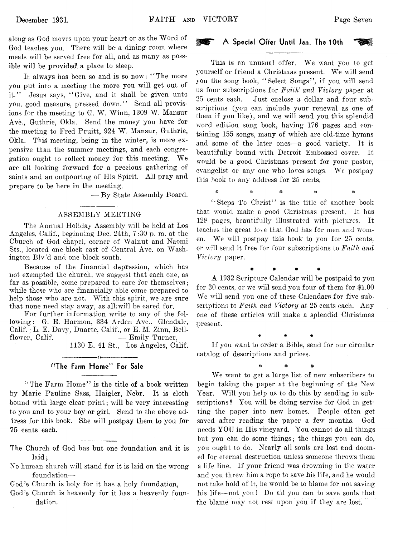**along as God moves upon your heart or as the Word of God teaches you. There will bei a dining room where meals will be served free for all, and as many as possible will be provided, a place to sleep.**

**It always has been so and is so now: " The more you put into a meeting the more you will get out of it." Jesus says, " Give, and it shall be given unto you, good measure, pressed down." Send all provis**ions for the meeting to G. W. Winn, 1309 W. Mansur **Ave., Guthrie, Okla. Send the money you have for the meeting to Fred Pruitt, 924 W . Mansur, Guthrie,** Okla. This meeting, being in the winter, is more ex**pensive than the summer meetings, and each congre**gation ought to collect money for this meeting. We **are all looking forward for a precious gathering of saints and an outpouring of Ilis Spirit. All pray and prepare to be here in the meeting.**

**— By State Assembly Board.**

#### **ASSEMBLY MEETING**

**The Annual Holiday Assembly will be held at Los Angeles, Calif., beginning Dec. 24th, 7 :30 p. m. at the Church of God chapel, corner of Walnut and Naomi Sts., located one block east of Central Ave. on Wash**ington Blv'd and one block south.

**Because of the financial depression, which has not exempted the church, we suggest that each one, as** far as possible, come prepared to care for themselves: **wrhile those who are financially able come prepared to help those who are not. With this spirit, we are sure that none need stay away, as alllwill be cared for.**

**For further information write to any of the following: G. E. Harmon, 334 Arden Ave., Glendale, Calif.; L. E. Davy, Duarte, Calif., or E. M. Zinn, Bellflower, Calif. — Emily Turner,**

**1130 E. 41 St.., Los Angeles, Calif.**

#### **------------------o------------------** "The Farm Home" For Sale

**" The Farm Home" is the title of a book written by Marie Pauline Sass, Haigler, Nebr. It is cloth bound with large clear print; will be very interesting to you and to your boy or girl. Send to the above ad-Iress for this book. She will postpay them to you for 75 cents each.**

- **The Church of God has but one foundation and it is laid;**
- **No human church will stand for it is laid on the wrong foundation—**
- **God's Church is holy for it has a holy foundation,**
- **God's Church is heavenly for it has a heavenly foundation.**

#### A Special Offer Until Jan. The 10th

This is an unusual offer. We want you to get **yourself** or friend a Christmas present. We will send **you the song book, " Select Songs" , if you will send us four subscriptions for** *Faith: and Victory* **paper at 25 cents each. Just enclose a dollar and four subscriptions (you can include your renewal as one of them if you like), and we will send you this splendid word edition song book, having 176 pages and containing 155 songs, many of which are old-time hymns and some of the later ones— a good variety. It is beautifully bound with Detroit Embossed cover. It would be a good Christmas present for your pastor, evangelist or any one who loves songs. We postpay this book to any address for 25 cents.**

**" Steps To Christ" is the title of another book that would make a good Christmas present. It has 128 pages, beautifully illustrated with pictures. It teaches the great love that God has for men and women. We will postpay this book to you for 25 cents, or will send it free for four subscriptions to** *Faith and Victory* **paper.**

*% \** **# # =&**

**A 1932 Scripture Calendar will be postpaid to you for 30 cents, or we will send you four of them for \$1.00** We will send you one of these Calendars for five sub**scriptions to** *Faith and Victory* **at 25 cents each. Any one of these articles will make a splendid Christmas present,**

**# # # #**

**# # # If you want to order a Bible, send for our circular catalog of descriptions and prices.**

**# ^ #**

**We want to get a large list of new subscribers to begin taking the paper at the beginning of the New** Year. Will you help us to do this by sending in sub**scriptions? You will be doing service for God in getting the paper into new homes. People often get saved after reading the paper a few months. God needs YOU in His vineyard. You cannot do all things but you can do some things; the things you can do, you ought to do. Nearly all souls are lost and doomed for eternal destruction unless someone throws them a life line. If your friend was drowning in the water and you threw him a rope to save his life, and he would not take hold of it, he would be to blame for not saving his life— not you! Do all you can to save souls that the blame may not rest upon you if they are lost.**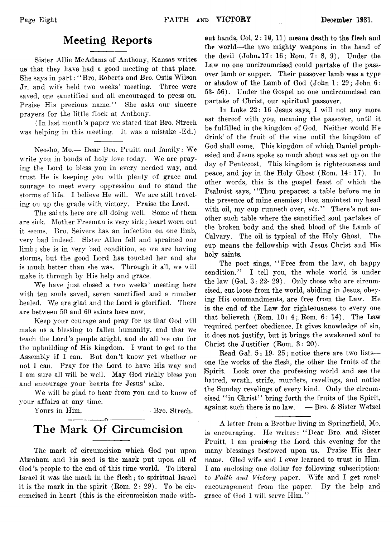# **Meeting Reports**

**Sister Allie McAdams of Anthony, Kansas writes usf that they have had a good meeting at that place. She says in part: " Bro. Roberts and Bro. Ostis Wilson Jr. and wife held two weeks' meeting. Three were saved, one sanctified and all encouraged to press on.** Praise His precious name." She asks our sincere **prayers for the little flock at Anthony.**

**(In last month's paper we stated that Bro. Strech was helping in this meeting. It was a mistake -Ed.)**

Neosho, Mo.-- Dear Bro. Pruitt and family: We **write you in bonds of holy love today. We are praying\* the Lord to bless you in every needed way, and trust He is keeping you with plenty of grace and courage to meet every oppression and to stand the** storms of life. I believe He will. We are still travel**ing on up the grade with victory. Praise the Lord.**

**The saints here are all doing well. Some of them are sick. Mother Freeman is very sick; heart worn out it seems. Bro. Seivers has an infection on one limb, very bad indeed. Sister Allen fell and sprained one lim b; she is in very bad condition, so we are having storms, but the good Lord has touched her and she is much better than she was. Through it all, we will make it through by His help and grace.**

**We have just closed a two weeks' meeting here with ten souls saved, seven sanctified and a number healed. We are glad and the Lord is glorified. There are between 50 and 60 saints here now.**

**Keep your courage and pray for us that God will make us a blessing to fallen humanity, and that we teach the Lord's people aright, and do all we can for the upbuilding of His kingdom. I want to get to the Assembly if I can. But don't know yet whether or not I can. Pray for the Lord to have His way and I am sure all will be well. May God richly bless you and encourage your hearts for Jesus' sake.**

We will be glad to hear from you and to know of **your affairs at any time.**

Yours in Him,  $-$ Bro. Streeh.

# **------------------ o------------------- The Mark Of Circumcision**

**The mark of circumcision which God put upon Abraham and his seed is the mark put upon all of God's people to the end of this time world. To literal Israel it was the mark in the flesh; to spiritual Israel** it is the mark in the spirit (Rom. 2: 29). To be cir**cumcised in heart (this is the circumcision made with-** **out hands, Ool. 2 : 1©, 11) means death to the flesh and the world— the two mighty weapons in the hand of** the devil (John, 17: 16; Rom. 7: 8, 9). Under the **Law no one uncircumcised could partake of the passover lamb or supper. Their passover lamb was a type or shadow of the Lamb of God (John 1: 29; John 6: 53- 56). Under the Gospel no one uncircumcised can partake of Christ, our spiritual passover.**

**In Luke 22: 16 Jesus says, I will not any more eat thereof with you, meaning the passover, until it be fulfilled in the kingdom of God, Neither would He drink' of the fruit of the vine until the kingdom of God shall come. This kingdom of which Daniel prophesied and Jesus spoke so much about was set up on the day of Pentecost. This kingdom is righteousness and peace, and joy in the\* Holy Ghost (Rom. 14: 17). In other words, this is the gospel feast of which the Psalmist says,** *1* **' Thou preparest a table before me in the presence of mine enemies; thou anointest my head** with oil, my cup runneth over, *etc.*" There's not an**other such table where the sanctified soul partakes of the broken body and the shed blood of the Lamb of Calvary. The oil is typical of the Holy Ghost. The cup means the fellowship writh Jesus Christ and His holy saints.**

**The poet sings, " Free from the law, oh happy condition." I tell you, the whole world is under the law (Gal. 3 : 22- 29). Only those wbo are circumcised, cut loose from the world, abiding in Jesus, obeying His commandments, are free from the Law. He is the end of the Law for righteousness to every one that believeth (Rom. 10: 4 ; Rom. 6 : 14). The Law 'required perfect obedience. It gives knowledge of sin, it does not justify, but it brings the awakened soul to Christ the Justifier (Rom. 3 : 20).**

**Read Gal. 5i 19- 25; notice there are two lists one the works of the flesh, the other the fruits of the (Spirit. Look over the professing world and see the hatred, wrath, strife, murders, revelings, and notice the Sunday revelings of every kind. Only the circumcised " in Christ" bring forth the fruits of the Spirit, against such there is no law. ■— Bro. & Sister Wetzel**

**A letter from a Brother living in Springfield, Mo. is encouraging. He writes: " Dear Bro. and Sister Pruitt, I am praising the Lord this evening for the many blessings bestowed upon us. Praise His dear name. Glad wife and I ever learned to trust in Him. I am enclosing one dollar for following subscriptions** to Faith and Victory paper. Wife and I get much **encouragement from the paper. By the help and** grace of God I will serve Him."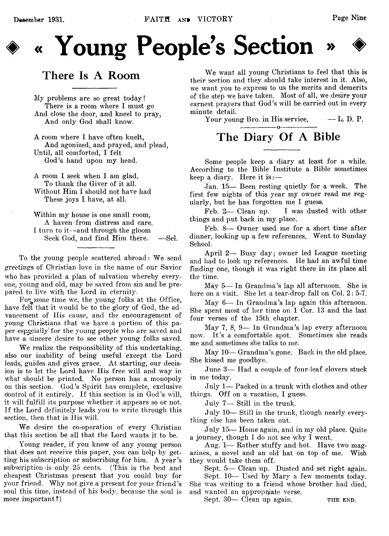# « Young People's Section

# **There Is A Room**

**My problems are so great today! There is a room where I must go And close the door, and kneel to pray, And only God shall know.**

**A room where I have often knelt, And agonized, and prayed, and plead, Until, all comforted, I felt God's hand upon my head.**

**A room I seek when I am glad. To thank the Giver of it all. Without Him I should not have had These joys I have, at all.**

**Within my house is one small room, A haven from distress and care. I turn to it— and through the gloom Seek God, and find Him there. — Sel.**

To the young people scattered abroad: We send **greetings of Christian love in the name of our Savior who has provided a plan of salvation whereby everyone, young and old, may be saved from sin and be prepared to live with the Lord in eternity.**

For some time we, the young folks at the Office, have felt that it would be to the glory of God, the ad**vancement of His cause, and the encouragement of young Christians that we have a portion of this paper especially -for the young people who are saved and have a sincere desire to see other young folks saved.**

**We realize the responsibility of this undertaking, also our inability of being useful except the Lord** leads, guides and gives grace. At starting, our decis**ion is to let the Lord have His free will and way in what should be printed. No person has a monopoly on this section. God's Spirit has complete, exclusive dontrol of it entirely. If this section is in God's will, it will fulfill its purpose whether it appears so or not. If the Lord definitely leads you to write through this section, then that is His will.**

**We desire the co-operation of every Christian that this section be all that the Lord wants it to be.**

**Young reader, if you know of any young person** that does not receive this paper, you can help by get**ting his subscription or subscribing for him. A year's subscription-is only 25 cents. (This is; the best and cheapest Christmas present that you could buy for your friend. Why not give a present for your friend's soul this time, instead of his body, because the soul is more important?)**

We want all young Christians to feel that this is **their section and they should take interest in it. Also, we want you to express to us the merits and demerits of the step we have taken. Most of all, we desire your earnest prayers that God's will be carried out in every minute detail.**

**Your young Bro. in His service, — L. D. P.**

# **The Diary Of A Bible**

**Some people keep a diary at least for a while. According to the Bible Institute a Bible sometimes keep a diary. Here it is :—**

**Jan. 15— Been resting quietly for a week. The first few nights of this year my owner read me regularly, but he has forgotten me I guess.**

Feb. 2— Clean up. I was dusted with other **things and put back in my place.**

**Feb. 8— Owner used me for a short time after dinner, looking up a few references. Went to Sunday School.**

**April 2— Busy day; owner led League meeting and had to look up references. He had an awful time finding one, though it was right there in its place all the time.**

**May 5— In Grandma's lap all afternoon. She is here on a visit. She let a tear-drop fall on Col. 2 : 5-7.**

**May 6— In Grandma's lap again this afternoon. She spent most of her time on 1 Cor. 13 and the last four verses of the 15th chapter.**

**May 7, 8, 9— In Grandma's lap every afternoon** now. It's a comfortable spot. Sometimes she reads **me and sometimes she talks to me.**

**May 10— Grandma's gone. Back in the old place. She kissed me goodbye.**

**June 3— Had a couple of four-leaf clovers stuck in me today.**

**July 1— Packed in a trunk with clothes and other things. Off on a vacation, I guess.**

**July 7— Still in the trunk.**

**July 10— Still in the trunk, though nearly everything else has been taken out.**

**J uly 15<— Home again, and in my old place. Quite a journey, though I do not see why I went.**

**Aug. 1— Rather stuffy and hot, Have two magazines, a novel and an old hat on top of me. Wish they would take them off.**

**Sept. 5— Clean up. Dusted and set right again. Sept. 10— Used by Mary a few moments today. She was writing to a friend whose brother had died, and wanted an appropriate verse.**

Sept. 30— Clean up again. THE END.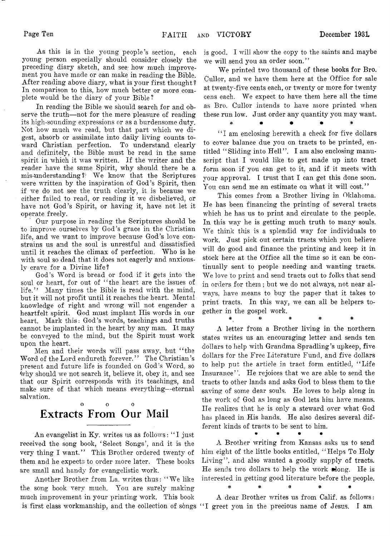**As this is in the young people's section, each young person especially should consider closely the preceding diary sketch, and see; how much improvement you have made or can make in reading the Bible. After reading above diary, what is your first thought ? In comparison to this, how much better or more complete would be the diary of your Bible?**

**In reading the Bible we should search for and observe the truth— not for the mere pleasure of reading its high-sounding expressions or as a burdensome duty. Not how much we read, but that part which we digest, absorb or assimilate into daily living counts toward Christian perfection. To understand clearly and definitely, the Bible must be read in the same spirit in which it was written. If the writer and the reader have the same Spirit, why should there be a mis-iunderstanding?' W e know that the Scriptures were written by the inspiration of God's Spirit, then if we do not see the truth clearly, it is because we either failed to read, or reading it we disbelieved, or have not God's Spirit, or having it, have not let it operate freely.**

**Our purpose in reading the Scriptures should be to improve ourselves by God'S, grace in the Christian life, and we want to improve because God's love constrains us and the soul is unrestful and dissatisfied until it reaches the climax of perfection. Who is he with soul so dead that it does not eagerly and anxiously crave for a Divine life?**

**God's Word is bread or food if it gets into the soul or heart, for out of " the heart are the issues of life." Many times the Bible is read with the mind, but it will not profit until it reaches the heart. Mental knowledge of right and wrong will not engender a heartfelt spirit. God must implant Ilis words in our heart. Mark this: God's words, teachings and truths cannot be implanted in the heart by any man. It may be conveyed to the mind, but the Spirit must work upon the heart.**

**Men and their words will pass away, but " the Word of the Lord endureth forever. ' ' The Christian's present and future life is founded on God's Word, so 'why should we not search it, believe it, obey it, and see that our Spirit corresponds with its teachings, and make sure of that which means everything— eternal salvation.**

## **o o o Extracts From Our Mail**

**An evangelist in Ky. writes us as follows: " I just received the song book, ' Select Songs', and it is the** very thing I want." This Brother ordered twenty of **them and he expects to order more later. These books are small and handy for evangelistic work.**

Another Brother from La. writes thus: "We like **the song book very much. You are surely making much improvement in your printing work. This book is first class workmanship, and the collection of songs " I greet you in the precious name of Jesus. I am**

**is good. I will show the copy to the saints and maybe we will send you an order soon. ' '**

**We printed two thousand of these books for Bro. Cullor, and we have them here at the Office for sale at twenty-five cents each, or twenty or more for twenty** cens each. We expect to have them here all the time **as Bro. Cullor intends to have more printed when these run low. Just order any quantity you may want.**

**" I am enclosing herewith a check for five dollars to cover balance due you on tracts to be printed, en**titled "Sliding into Hell". I am also enclosing manu**script that I would like to get made up into tract form soon if you can get to it, and if it meets with your approval. I trust that I can get this done soon. You can send me an estimate on what it will cost."**

**This comes from a Brother living in Oklahoma. He has been financing the printing of several tracts which he has us to print and circulate to the people. In this way he is getting much truth to many souls. W e think this is a splendid way for individuals to work. Just pick out certain tracts which you believe will do good and finance the printing and keep it in stock here at the Office all the time so it can be continually sent to people needing and wanting tracts.** We love to print and send tracts out to folks that send **in orders for them; but we do not always, not near always, have means to buy the paper that it takes to** print tracts. In this way, we can all be helpers to**gether in the gospel work. #** *%* **# \* #**

**A letter from a Brother living in the northern states writes us an encouraging letter and sends ten dollars to help with Grandma Spradling's upkeep, five dollars for the Free Literature Fund, and five dollars to help put the article in tract form entitled, " Life Insurance" . He rejoices that we are able to send the tracts to other lands and asks God to bless them to the saving of some dear souls. He loves to help along in the work of God as long as God lets him have means. He realizes that he is only a steward over what God has placed in His hands. He also desires several different kinds of tracts to be sent to him.** *m* **• \* •**

**A Brother writing from Kansas asks us to send him eight of the little books entitled, " Helps To Holy** Living", and also wanted a goodly supply of tracts. **He sends two dollars to help the work along. He is interested in getting good literature before the people. #** *\** **# # #**

**A dear Brother writes us from Calif, as follows:**

**# ♦ • \* \***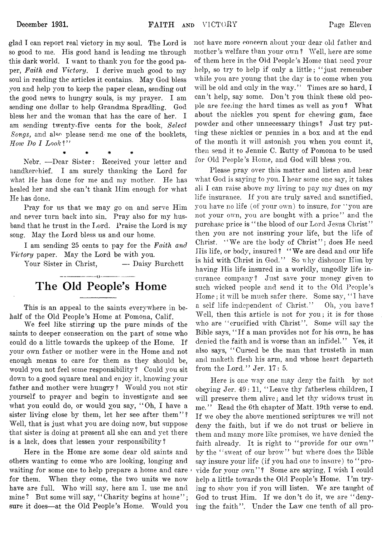**glad I can report real victory in my soul. The Lord is so good to me. His good hand is leading me through this dark world. I want to thank you for the good paper,** *Faith and Victory.* **I derive much good to my** soul in reading the articles it contains. May God bless **you and help you to keep the paper clean, sending out the good news to hungry souls, is my prayer. I am** sending one dollar to help Grandma Spradling. God **bless her and the woman that has the care of her. I am sending twenty-five cents for the book,** *Select Songs*, and also please send me one of the booklets, *How Do I Look?"* 

**\* \* \* \***

**Nebr. — Dear Sister: Received your letter and handkerchief. I am surely thanking the Lord for what He has done for me and my mother. He has healed her and she can't thank Him enough for what He has done.**

**Pray for us that we may go on and serve Him and never turn back into sin. Pray also for my husband that he trust in the Lord. Praise the Lord is my song. May the Lord bless us and our home.**

**I am sending 25 cents to pay for the** *Faith and Victory* **paper. May the Lord be with you.**

**Your Sister in Christ, — Daisy Burchett**

# **The Old People's Home**

------------------*0*...................

**This is an appeal to the saints everywhere in behalf of the Old People's Home at Pomona, Calif.**

**We feel like stirring up the pure minds of the saints to deeper consecration on the part of some who could do a little towards the upkeep of the Home. If your own father or mother were in the Home and not enough means to care for them as they should be, would you not feel some responsibility ? Could you sit down to a good square meal and enjoy it, knowing your father and mother were hungry? Would you not stir yourself to prayer and begin to investigate and see what you could do, or would you say, " Oh, I have a** sister living close by them, let her see after them"? Well, that is just what you are doing now, but suppose **that sister is doing at present all she can and yet there is a lack, does that lessen your responsibility?**

**Here in the Home are some dear old saints and others wanting to come who are looking, longing and waiting for some one to help prepare a home and care** for them. When they come, the two units we now **have are full. Who will say, here am I, use me and** mine? But some will say, "Charity begins at home"; **sure it does— at the Old People's Home. Would you**

**not have more concern about your dear old father and mother's welfare than your own ? Well, here are some of them here in the Old People's Home that need your help, so try to help if only a little; " just remember while you are young that the day is to come when you** will be old and only in the way." Times are so hard, I **can't help, say some. Don't you think these old peo**ple are feeling the hard times as well as you? What about the nickles you spent for chewing gum, face powder and other unnecessary things? Just try put**ting these nickles! or pennies in a box and at the end of the month it will astonish you when you count it, then send it to Jennie C. Rutty of Pomona to be used** for Old People's Home, and God will bless you.

**Please pray over this matter and listen and hear what God is saying to you. I hear some one say, it takes all I can raise above my living to pay my dues on my life insurance. If you are truly saved and sanctified, you have no life (of your own) to insure, for** *"you* **are** not your own, you are bought with a price" and the **purchase price is " the blood of our Lord Jesus Christ" then you are not insuring your life, but the life of** Christ. "We are the body of Christ"; does He need His life, or body, insured? "We are dead and our life is hid with Christ in God." So why dishonor Him by **having His life insured in a worldly, ungodly life insurance company? Just save your money given to such wicked people and send it to the Old People's** Home; it will be much safer there. Some say, "I have **a self life independent of Christ." Oh, you have? Well, then this article is not for you; it is for those** who are " crucified with Christ". Some will say the **Bible says, " If a man provides not for his own, he has denied the faith and is w^orse than an infidel." Yes, it also says, " Cursed be the man that trusteth in man and maketh flesh his arm, and whose heart departeth from the Lord." Jer. 17: 5.**

**Here is one way one may deny the faith by not obeying Jer. 49: 11, " Leave thy fatherless children, I** will preserve them alive; and let thy widows trust in **me." Read the 6th chapter of Matt. 19th verse to end.** If we obey the above mentioned scriptures we will not deny the faith, but if we do not trust or believe in them and many more like promises, we have denied the **faith already. It is right to " provide for our own"** by the "sweat of our brow" but where does the Bible **say insure your life (if you had one to insure) to " pro**vide for your own''? Some are saying, I wish I could **help a little towards the Old People's Home. I 'm try**ing to show you if you will listen. We are taught of God to trust Him. If we don't do it, we are "denying the faith". Under the Law one tenth of all pro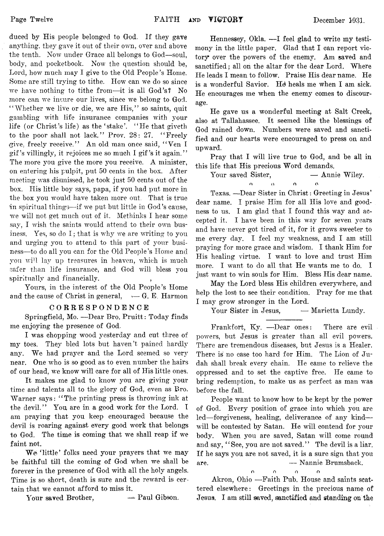**duced by His people belonged to God. If they gave anything, they gave it out of their own, over and above the tenth. Now under Grace all belongs to God— soul, body, and pocketbook. Now the question should be, Lord, how much may I give to the Old People's Home. Some are still trying to tithe. How can we do so since we have nothing to tithe from— it is all God's? No more can we insure our lives, since we belong to God.** "Whether we live or die, we are His," so saints, quit **gambling with life insurance companies with your life (or Christ's life) as the ' stake'. " He that giveth** to the poor shall not lack." Prov. 28: 27. "Freely **give, freely receive." An old man once said, " Yen I** gif's villingly, it rejoices me so much I gif's it again." **The more you give the more you receive, A minister, on entering his pulpit, put 50 cents in the box. After meeting was dismissed, he took just 50 cents out of the box. His little boy says, papa, if you had put more in the box you would have taken more out. That is true in spiritual things— if we put but little in God's cause, we will not get much out of it. Methinks I hear some say, I wish the saints would attend to their own business. Yes, so do I ; that is why we are writing' to you and urging you to attend to this part of your business— to do all you can for the Old People's Home and you will lay up treasures in heaven, which is much safer** than **life insurance, and God will bless you spiritually and financially. ,**

**Yours, in the interest of the Old People's Home** and the cause of Christ in general,  $\leftarrow$  G. E. Harmon

#### **CORRESPONDENCE**

**Springfield, Mo. — Dear Bro. Pruitt: Today finds me enjoying the presence of God.**

**I was chopping wood yesterday and cut three of my toes. They bled lots but haven't pained hardly** any. We had prayer and the Lord seemed so very **near. One who is so good as to even number the hairs of our head, we know will care for all of His little ones.**

**It makes me glad to know you are giving your time and talents all to the glory of God, even as Bro. Warner says: " The printing press is throwing ink at the devil." You are in a good work for the Lord. I am praying that you keep encouraged because the devil is roaring against every good work that belongs to God. The time is coming that we shall reap if we faint not.**

We 'little' folks need your prayers that we may **be faithful till the coming of God when we shall be forever in the presence of God with all the holy angels. Time is so short, death is sure and the reward is certain that we cannot afford to miss it.**

Your saved Brother, **— Paul Gibson.** 

Hennessey, Okla. --I feel glad to write my testi**mony in the little paper. Glad that I can report victory\* over the powers of the enemy. Am saved and sanctified; all on the altar for the dear Lord. Where He leads I mean to follow. Praise His dear name. He** is a wonderful Savior. He heals me when I am sick. **He encourages me when the enemy comes to discourage.**

**He gave us a wonderful meeting at Salt Creek, also at Tallahassee. It seemed like the blessings of** God rained down. Numbers were saved and sancti**fied and our hearts were encouraged to press on and upward.**

**Pray that I will live true to God, and be all in this life that His precious Word demands.**

Your saved Sister,  $\qquad \qquad$  **Annie Wiley.** *n* **n o o**

**Texas. — Dear Sister in Christ: Greeting in Jesus' dear name. I praise Him for all His love and goodness to us. I am glad that I found this way and accepted it. I have been in this way for seven years and have never got tired of it, for it grows sweeter to me every day. I feel my weakness, and I am still praying for more grace and wisdom. I thank Him for** His healing virtue. I want to love and trust Him **more. I want to do all that He wants me to do. I just want to win souls for Him. Bless His dear name.**

**May the Lord bless His children everywhere, and help the lost to see their condition. Pray for me that I may grow stronger in the Lord.**

**Your Sister in Jesus, — Marietta Lundy.**

**Frankfort, Ky. — Dear ones: There are evil powers, but Jesus is greater than all evil powers. There are tremendous diseases, but Jesus is a Healer. There is no case too hard for Him. The Lion of Judah shall break every chain. He came to relieve the oppressed and to set the captive free. He came to bring redemption, to make us as perfect as man was before the fall.**

**People want to know how to be kept by the power of God. Every position of grace into which you are led— forgiveness, healing, deliverance of any kind will be contested by Satan. He will contend for your body. When you are saved, Satan will come round** and say, "See, you are not saved." The devil is a liar. **If he says you are not saved, it is a sure sign that you are. — Nannie Brumsback.**

**n o o o**

**Akron, Ohio — Faith Pub. House and saints scattered elsewhere: Greetings in the precious name of Jesus. I am still saved, sanctified and standing on the**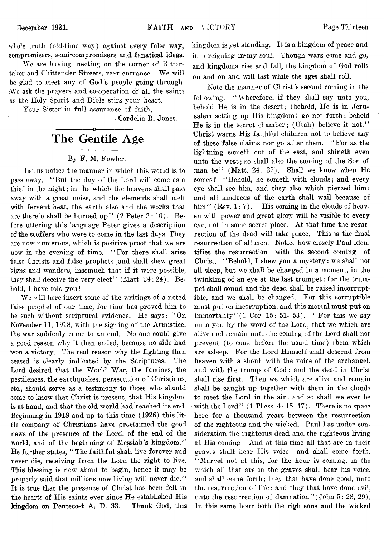**whole truth (old-time way) against every false way, compromisers, semi-compromisers and fanatical ideas.**

**We are having meeting on the corner of Bitter**taker and Chittender Streets, rear entrance. We will **be glad to meet any of God's people going through. We ask the prayers and co-operation of all the saints as the Holy Spirit and Bible stirs your heart.**

**Your Sister in full assurance of faith,**

**— i Cordelia R. Jones.**

#### **------------------ o----------------— The Gentile Age**

#### **By F. M. Fowler.**

**Let us notice the manner in which this world is to pass away. ' ' But the day of the Lord will come as a thief in the night; in the which the heavens shall pass away with a great noise, and the elements shall melt with fervent heat, the earth also and the works that** are therein shall be burned up" (2 Peter 3:10). Be**fore uttering this language Peter gives a description of the scoffers who were to come in the last days. They are now numerous, which is positive proof that we are now in the evening of time. " For there shall arise false Christs and false prophets .and shall shew' great** signs and wonders, insomuch that if it were possible, **they shall deceive the very elect" (Matt. 24 : 24). Behold, I have told you!**

**Wei will here insert some of the writings of a noted false prophet of our time, for time has proved him to be such without scriptural evidence. He says: " On November 11, 1918, with the signing of the Armistice,** the war suddenly came to an end. No one could give a good reason why it then ended, because no side had won a victory. The real reason why the **fighting then ceased is clearly indicated by the Scriptures. The Lord desired that the World War, the famines, the pestilences, the earthquakes, persecution of Christians,** etc., should serve as a testimony to those who should **come to know that Christ is present, that. His kingdom is at hand, and that the old world had reached its end. Beginning in 1918 and up to this time (1926) this little company of Christians have proclaimed the good** news of the presence of the Lord, of the end of the **world, and of the beginning of Messiah's kingdom." He further states, 4** *1* **The faithful shall live forever and never die, receiving from the Lord the right to live. This blessing is now about to begin, hence it may be property said that millions now living will never die." It is true that the presence of Christ has been felt in the hearts of His saints ever since He established His kingdom on Pentecost A. D. 33. Thank God, this**

**kingdom is yet standing. It is a kingdom of peace and it is reigning in\*my soul. Though wars come and go, and kingdoms rise and fall, the kingdom of God rolls on and on and will last while the ages shall roll.**

**Note the manner of Christ's second coming in the following. " Wherefore, if they shall say unto you, behold He isi in the desert; (behold, He is in Jerusalem setting up His kingdom) go not forth: behold He is in the secret chamber; (Utah) believe it not."** Christ warns His faithful children not to believe any **of these false claims nor go after them. " For as the lightning cometh out of the east, and shineth even** unto the west; so shall also the coming of the Son of man be" (Matt. 24: 27). Shall we know when He **comes? " Behold, he cometh with clouds; and every eye shall see him, and they also which pierced him: and all kindreds of the earth shall wail because of** him" (Rev. 1:7). His coming in the clouds of heaven with power and great glory will be visible to every eye, not in some secret place. At that time the resur**rection of the dead will take place. This is the final resurrection of all men. Notice how closely Paul iden**tifies the resurrection with the second coming of Christ. "Behold, I shew you a mystery: we shall not all sleep, but we shall be changed in a moment, in the **twinkling of an eye at the last trumpet: for the trumpet shall sound and the dead shall be raised incorruptible, and we shall be changed. For this corruptible must put on incorruption, and this mortal must put on immortality" (1 Cor. 15: 51- 53). " For this** *we* **say** unto you by the word of the Lord, that we which are alive and remain unto the coming of the Lord shall not **prevent (to come before the usual time) them which are asleep. For the Lord Himself shall descend from** heaven with a shout, with the voice of the archangel, **and with the trump of God: and the dead in Christ** shall rise first. Then we which are alive and remain **shall be caught up together with them in the clouds** to meet the Lord in the air: and so shall we ever be with the Lord"  $(1$  Thess.  $4:15-17$ ). There is no space **here for a thousand years between the resurrection of the righteous and the wicked. Paul has under consideration the righteous dead and the righteous living at His coming. And at this time all that are in their graves shall hear His voice and shall come forth. " Marvel not at this, for the hour is coming, in the which all that are in the graves shall hear his voice, and shall come forth; they that have done good, unto the resurrection of life ; and they that have done evil,** unto the resurrection of damnation''(John 5: 28, 29). **In this same hour both the righteous and the wicked**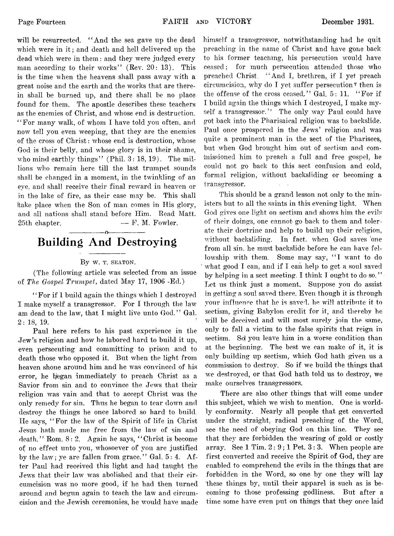**will be resurrected. " And the sea gave up the dead** which were in it: and death and hell delivered up the **dead which were in them: and they were judged every man according to their works" (Rev. 20: 13). This is the time when the heavens shall pass away with a great noise and the earth and the works that are there**in shall be burned up, and there shall be no place **found for them. The apostle describes these teachers as the enemies of Christ, and whose end is destruction.** *1* **' For many walk, of whom I have told you often, and now tell you even weeping, that they are the enemies of the cross of Christ: whose end is destruction, whose God is their belly, and whose glory is in their shame,** who mind earthly things" (Phil. 3: 18, 19). The mil**lions who remain here till the last trumpet sounds shall be changed in a moment, in the twinkling of an** eye, and shall receive their final reward in heaven or **in the lake of fire, as their case may be. This shall (take place when the Son of man comes in His glory, and all nations shall stand before Him. Read Matt. 25th chapter. — F. M. Fowler.**

## **------------------o------------------ Building And Destroying**

#### **By** W. T. SEATON.

**(The following article was selected from an issue of** *The Gospel Trumpet,* **dated May 17, 1906 -Ed.)**

**' ' For if 1 build again the things winch I destroyed** I make myself a transgressor. For I through the law am dead to the law, that I might live unto God." Gal. **2: 18, 19.**

**Paul here refers to his past experience in the Jew's religion and how he labored hard to build it up, even persecuting and committing to prison and to** death those who opposed it. But when the light from heaven shone around him and he was convinced of his error, he began immediately to preach Christ as a **Savior from sin and to convince the Jews that their** religion was vain and that to accept Christ was the **only remedy for sin. Thus he began to tear dowm and destroy the things he once labored so hard to build. He says, " For the lawr of the Spirit of life in Christ Jesus hath made me free from the law of sin and death." Rom. 8 : 2. Again he says, " Christ is become of no effect unto you, wdiosoever of you are justified** by the law; ye are fallen from grace." Gal.  $5: 4$ . A f**ter Paul had received this light and had taught the** Jews that their law was abolished and that their circumcision was no more good, if he had then turned around and begun again to teach the law and circumcision and the Jewish ceremonies, he would have made

**himself a transgressor, notwithstanding had he quit preaching in the name of Christ and have gone back** to his former teaching, his persecution would have **ceased; for much persecution attended those who preached Christ. " And I, brethren, if I yet preach circumcision, why do I yet suffer persecution ^ then is the offense of the cross ceased." Gal. 5: 11. " For if I build again the things which I destroyed, I make myself a transgressor." The only way Paul could have got back into the Pharisaical religion was to backslide.** Paul once prospered in the Jews' religion and was **quite a prominent man in the sect of the Pharisees,** but when God brought him out of sectism and com**missioned him to preach a full and free gospel, he could not go back to this sect confusion and cold, formal religion, without backsliding or becoming a**  $transcressor.$ 

**This should be a grand lesson not only to the ministers but to all the saints in this evening light. "When God gives one light on seetism and shows him the evils of their doings, one cannot go back to them and tolerate their doctrine and help to build up their religion,** without backsliding. In fact, when God saves one **from all sin. he must backslide before he can have fel**lowship with them. Some may say, "I want to do what good I can, and if I can help to get a soul saved **by helping in a sect meeting. I think I ought to do so. " Let us think just a moment. Suppose you do assist in getting a soul saved there. Even though it is through your influence that lie is saved, he will attribute it to seetism, giving Babylon credit for it, and thereby he will be deceived and will most surely join the same, only to fall a victim to the false spirits that reign in** sectism. So you leave him in a worse condition than at the beginning. The best we can make of it, it is **only building up seetism, which God hath given us a** commission to destroy. So if we build the things that we destroyed, or that God hath told us to destroy, we **make ourselves transgressors.**

**There are also other things that will come under** this subject, which we wish to mention. One is world**ly conformity. Nearly all people that get converted under the straight, radical preaching of the Word, see the need of obeying God on this line. They see that they are forbidden the wearing of gold or costly array. See 1 Tim. 2 : 9 ; 1 Pet. 3 : 3. When people are first converted and receive the Spirit of God, they are enabled to comprehend the evils in the things that are forbidden in the Word, so one by one they will lay these things by, until their apparel is such as is becoming to those professing godliness. But after a time some have even put on things that they once laid**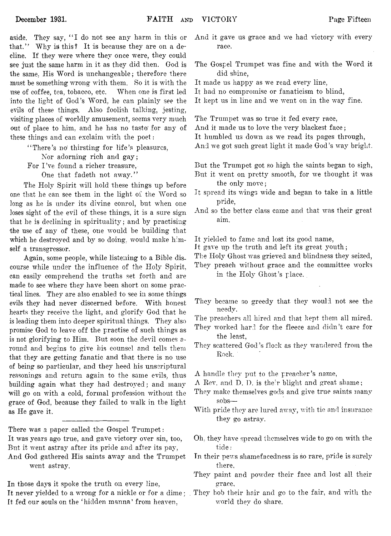**aside. They say, " I do not see any harm in this or that.' 7 Why is this? It is because they are on a decline. If they were where they once were, they could see just the same harm in it as they did then. Cod is the same, His Word is unchangeable; therefore there must be something wrong with them. So it is with the use of coffee, tea, tobacco, etc. When one is first led into the light of God's Word, he can plainly see the evils of these things. Also foolish talking, jesting, visiting places of worldly amusement, seems very much out of place to him, and he has no taste' for any of these things and can exclaim with the poet:**

**" There's** *nd* **thirsting for life's pleasures,**

**Nor adorning rich and gay;**

**For I 've found a richer treasure,**

**One that fadeth not away. "**

**The Holy Spirit will hold these things up before one that he can see them in the light of the Word so long as he is under its divine conrol, but when one loses sight of the evil of these things, it is a sure sign that he is declining in spirituality; and by practising the use of any of these, one would be building that which he destroyed and by so doing, would make himself a transgressor.**

**Again, some people, while listening to a Bible discourse while under the influence of the Holy Spirit, can easily comprehend the truths set forth and are made to see where they have been short on some practical lines. They are also enabled to see in some things** evils they had never discerned before. With honest **hearts they receive the light, and glorify God that he is leading them into deeper spiritual things. They also promise God to leave off the practise of such things as is not glorifying to Him. But soon the devil comes around and begins to give his counsel and tells them that they are getting fanatic and that there is no use of being so particular, and they heed his unseriptural reasonings and return again to the same evils, thus building again what they had destroyed; and many** will go on with a cold, formal profession without the **grace of God, because they failed to walk in the light as He gave it.**

**There was a paper called the Gospel Trumpet: It was years ago true, and gave victory over sin, too, But it went astray after its pride and after its pay, And God gathered His saints away and the Trumpet went astray.**

**In those days it spoke the truth on every line, It never yielded to a wrong for a nickle or for a dime; They bob their hair and go to the fair, and with the It fed our souls on the ' hidden manna' from heaven,**

- **And it gave us grace and we had victory with every race.**
- **The Gospel Trumpet was fine and with the Word it did shine,**
- **It made us happy as we read every line,**
- **It had no compromise or fanaticism to blind,**
- **It kept us in line and we went on in the way fine.**

**The Trumpet was so true it fed every race,**

**And it made us to love the very blackest face;**

**It humbled us down as we read its pages through,**

**And we got such great light it made God's way bright.**

**But the Trumpet got so high the saints began to sigh, But it went on pretty smooth, for we thought it was the only move;**

- **It spread its wings wide and began to take in a little pride,**
- **And so the better class came and that was their great aim.**

**It yielded to fame and lost its good name,**

**It gave up the truth and left its great youth;**

**The Holy Ghost was grieved and blindness they seized,**

**They preach without grace and the committee works in the Holy Ghost's place.**

**They became so greedy that they would not see the needy.**

**The preachers all hired and that kept them all mired,**

**They worked hard for the fleece and didn't care for the least,**

**They scattered God's flock as they wandered from the Rock.**

**A handle they put to the preacher's name,**

- **A Rev. and D. D. is the:r blight and great shame;**
- **They make themselves gods and give true saints many sobs—**
- **With pride they are lured away, with tie and insurance they go astray.**
- **Oh, they have spread themselves wide to go on with the tide:**
- **In their pews shamefacedness is so rare, pride is surely there,**
- **They paint and powder their face and lost all their grace,**
- **world** *they* **do share.**